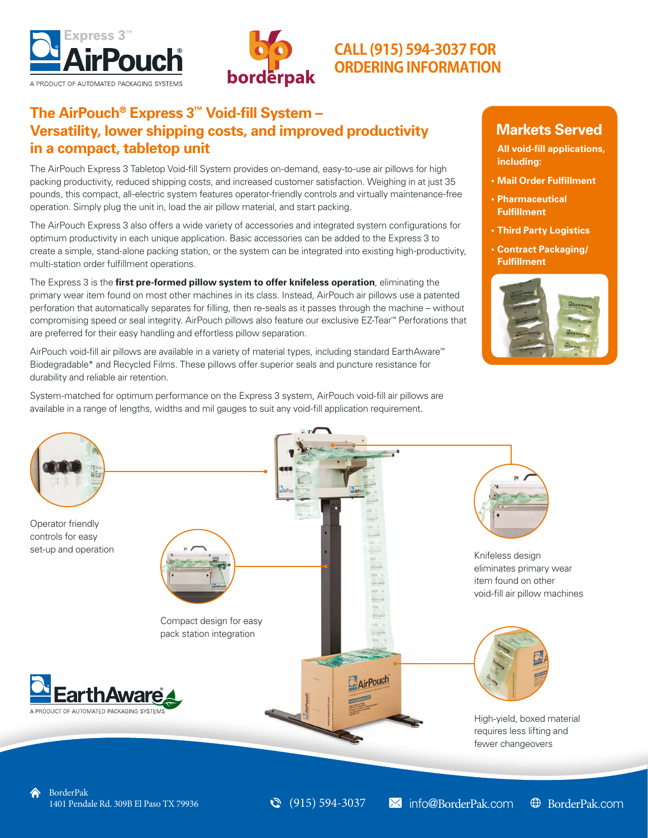



# **CALL (915) 594-3037 FOR ORDERINGINFORMATION**

# **The AirPouch® Express 3™ Void-fill System – Versatility, lower shipping costs, and improved productivity in a compact, tabletop unit**

The AirPouch Express 3 Tabletop Void-fill System provides on-demand, easy-to-use air pillows for high packing productivity, reduced shipping costs, and increased customer satisfaction. Weighing in at just 35 pounds, this compact, all-electric system features operator-friendly controls and virtually maintenance-free operation. Simply plug the unit in, load the air pillow material, and start packing.

The AirPouch Express 3 also offers a wide variety of accessories and integrated system configurations for optimum productivity in each unique application. Basic accessories can be added to the Express 3 to create a simple, stand-alone packing station, or the system can be integrated into existing high-productivity, multi-station order fulfillment operations.

The Express 3 is the **first pre-formed pillow system to offer knifeless operation**, eliminating the primary wear item found on most other machines in its class. Instead, AirPouch air pillows use a patented perforation that automatically separates for filling, then re-seals as it passes through the machine – without compromising speed or seal integrity. AirPouch pillows also feature our exclusive EZ-Tear™ Perforations that are preferred for their easy handling and effortless pillow separation.

AirPouch void-fill air pillows are available in a variety of material types, including standard EarthAware™ Biodegradable\* and Recycled Films. These pillows offer superior seals and puncture resistance for durability and reliable air retention.

System-matched for optimum performance on the Express 3 system, AirPouch void-fill air pillows are available in a range of lengths, widths and mil gauges to suit any void-fill application requirement.

## **Markets Served**

**All void-fill applications, including:** 

- **• Mail Order Fulfillment**
- **• Pharmaceutical Fulfillment**
- **• Third Party Logistics**
- **• Contract Packaging/ Fulfillment**